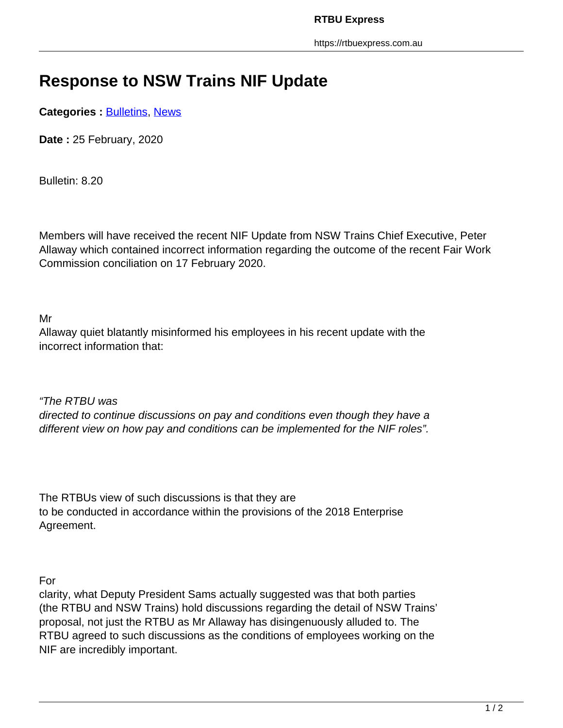## **Response to NSW Trains NIF Update**

**Categories : [Bulletins,](https://rtbuexpress.com.au/category/news/bulletins/) News** 

**Date :** 25 February, 2020

Bulletin: 8.20

Members will have received the recent NIF Update from NSW Trains Chief Executive, Peter Allaway which contained incorrect information regarding the outcome of the recent Fair Work Commission conciliation on 17 February 2020.

Mr

Allaway quiet blatantly misinformed his employees in his recent update with the incorrect information that:

"The RTBU was directed to continue discussions on pay and conditions even though they have a different view on how pay and conditions can be implemented for the NIF roles".

The RTBUs view of such discussions is that they are to be conducted in accordance within the provisions of the 2018 Enterprise Agreement.

For

clarity, what Deputy President Sams actually suggested was that both parties (the RTBU and NSW Trains) hold discussions regarding the detail of NSW Trains' proposal, not just the RTBU as Mr Allaway has disingenuously alluded to. The RTBU agreed to such discussions as the conditions of employees working on the NIF are incredibly important.